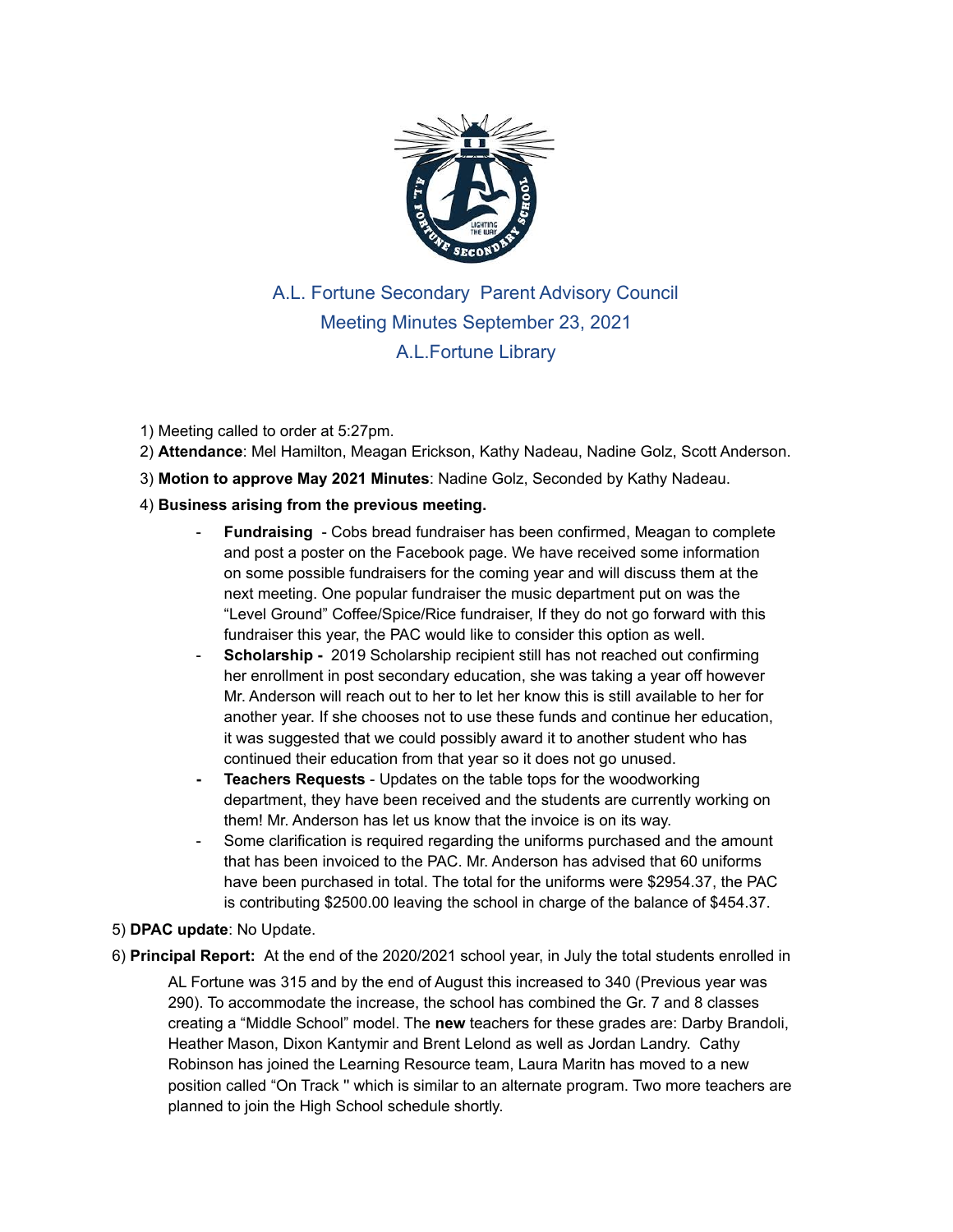

A.L. Fortune Secondary Parent Advisory Council Meeting Minutes September 23, 2021 A.L.Fortune Library

## 1) Meeting called to order at 5:27pm.

2) **Attendance**: Mel Hamilton, Meagan Erickson, Kathy Nadeau, Nadine Golz, Scott Anderson.

3) **Motion to approve May 2021 Minutes**: Nadine Golz, Seconded by Kathy Nadeau.

## 4) **Business arising from the previous meeting.**

- **Fundraising** Cobs bread fundraiser has been confirmed, Meagan to complete and post a poster on the Facebook page. We have received some information on some possible fundraisers for the coming year and will discuss them at the next meeting. One popular fundraiser the music department put on was the "Level Ground" Coffee/Spice/Rice fundraiser, If they do not go forward with this fundraiser this year, the PAC would like to consider this option as well.
- **Scholarship** 2019 Scholarship recipient still has not reached out confirming her enrollment in post secondary education, she was taking a year off however Mr. Anderson will reach out to her to let her know this is still available to her for another year. If she chooses not to use these funds and continue her education, it was suggested that we could possibly award it to another student who has continued their education from that year so it does not go unused.
- **- Teachers Requests** Updates on the table tops for the woodworking department, they have been received and the students are currently working on them! Mr. Anderson has let us know that the invoice is on its way.
- Some clarification is required regarding the uniforms purchased and the amount that has been invoiced to the PAC. Mr. Anderson has advised that 60 uniforms have been purchased in total. The total for the uniforms were \$2954.37, the PAC is contributing \$2500.00 leaving the school in charge of the balance of \$454.37.
- 5) **DPAC update**: No Update.
- 6) **Principal Report:** At the end of the 2020/2021 school year, in July the total students enrolled in

AL Fortune was 315 and by the end of August this increased to 340 (Previous year was 290). To accommodate the increase, the school has combined the Gr. 7 and 8 classes creating a "Middle School" model. The **new** teachers for these grades are: Darby Brandoli, Heather Mason, Dixon Kantymir and Brent Lelond as well as Jordan Landry. Cathy Robinson has joined the Learning Resource team, Laura Maritn has moved to a new position called "On Track '' which is similar to an alternate program. Two more teachers are planned to join the High School schedule shortly.